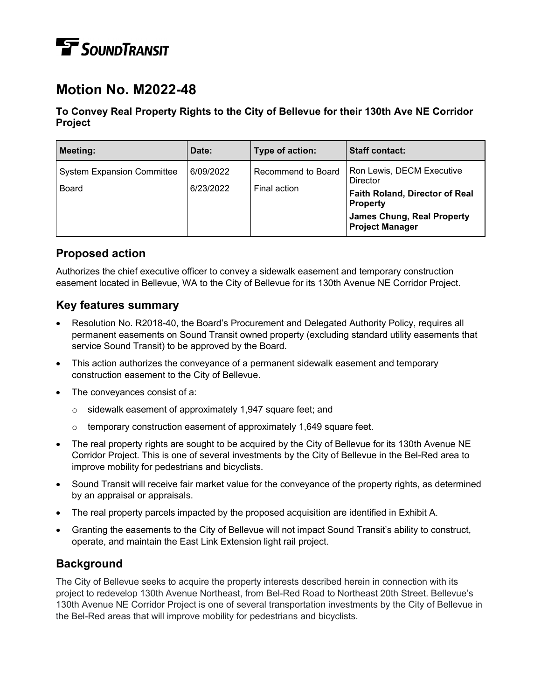# **TE** SOUNDTRANSIT

# **Motion No. M2022-48**

#### **To Convey Real Property Rights to the City of Bellevue for their 130th Ave NE Corridor Project**

| <b>Meeting:</b>                                   | Date:                  | Type of action:                    | <b>Staff contact:</b>                                                                                                                                                   |
|---------------------------------------------------|------------------------|------------------------------------|-------------------------------------------------------------------------------------------------------------------------------------------------------------------------|
| <b>System Expansion Committee</b><br><b>Board</b> | 6/09/2022<br>6/23/2022 | Recommend to Board<br>Final action | Ron Lewis, DECM Executive<br><b>Director</b><br><b>Faith Roland, Director of Real</b><br><b>Property</b><br><b>James Chung, Real Property</b><br><b>Project Manager</b> |

### **Proposed action**

Authorizes the chief executive officer to convey a sidewalk easement and temporary construction easement located in Bellevue, WA to the City of Bellevue for its 130th Avenue NE Corridor Project.

### **Key features summary**

- Resolution No. R2018-40, the Board's Procurement and Delegated Authority Policy, requires all permanent easements on Sound Transit owned property (excluding standard utility easements that service Sound Transit) to be approved by the Board.
- This action authorizes the conveyance of a permanent sidewalk easement and temporary construction easement to the City of Bellevue.
- The conveyances consist of a:
	- o sidewalk easement of approximately 1,947 square feet; and
	- temporary construction easement of approximately 1,649 square feet.
- The real property rights are sought to be acquired by the City of Bellevue for its 130th Avenue NE Corridor Project. This is one of several investments by the City of Bellevue in the Bel-Red area to improve mobility for pedestrians and bicyclists.
- Sound Transit will receive fair market value for the conveyance of the property rights, as determined by an appraisal or appraisals.
- The real property parcels impacted by the proposed acquisition are identified in Exhibit A.
- Granting the easements to the City of Bellevue will not impact Sound Transit's ability to construct, operate, and maintain the East Link Extension light rail project.

### **Background**

The City of Bellevue seeks to acquire the property interests described herein in connection with its project to redevelop 130th Avenue Northeast, from Bel-Red Road to Northeast 20th Street. Bellevue's 130th Avenue NE Corridor Project is one of several transportation investments by the City of Bellevue in the Bel-Red areas that will improve mobility for pedestrians and bicyclists.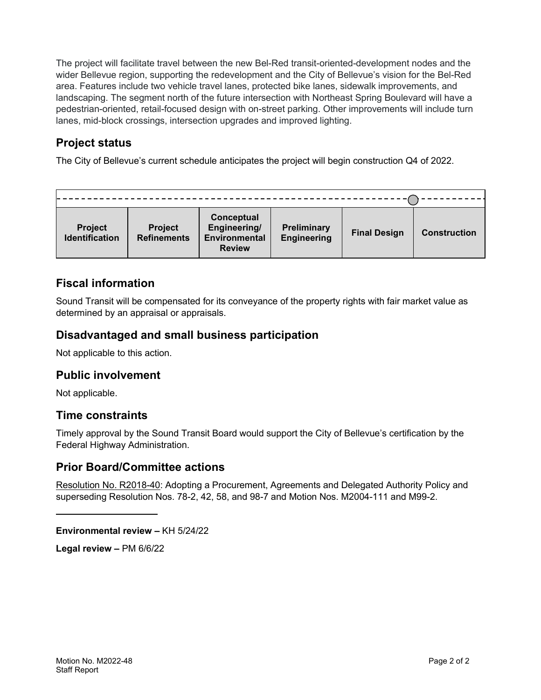The project will facilitate travel between the new Bel-Red transit-oriented-development nodes and the wider Bellevue region, supporting the redevelopment and the City of Bellevue's vision for the Bel-Red area. Features include two vehicle travel lanes, protected bike lanes, sidewalk improvements, and landscaping. The segment north of the future intersection with Northeast Spring Boulevard will have a pedestrian-oriented, retail-focused design with on-street parking. Other improvements will include turn lanes, mid-block crossings, intersection upgrades and improved lighting.

## **Project status**

The City of Bellevue's current schedule anticipates the project will begin construction Q4 of 2022.

| <b>Project</b><br><b>Identification</b> | <b>Project</b><br><b>Refinements</b> | Conceptual<br>Engineering/<br><b>Environmental</b><br><b>Review</b> | <b>Preliminary</b><br><b>Engineering</b> | <b>Final Design</b> | <b>Construction</b> |
|-----------------------------------------|--------------------------------------|---------------------------------------------------------------------|------------------------------------------|---------------------|---------------------|

# **Fiscal information**

Sound Transit will be compensated for its conveyance of the property rights with fair market value as determined by an appraisal or appraisals.

#### **Disadvantaged and small business participation**

Not applicable to this action.

### **Public involvement**

Not applicable.

### **Time constraints**

Timely approval by the Sound Transit Board would support the City of Bellevue's certification by the Federal Highway Administration.

#### **Prior Board/Committee actions**

Resolution No. R2018-40: Adopting a Procurement, Agreements and Delegated Authority Policy and superseding Resolution Nos. 78-2, 42, 58, and 98-7 and Motion Nos. M2004-111 and M99-2.

**Environmental review –** KH 5/24/22

**Legal review –** PM 6/6/22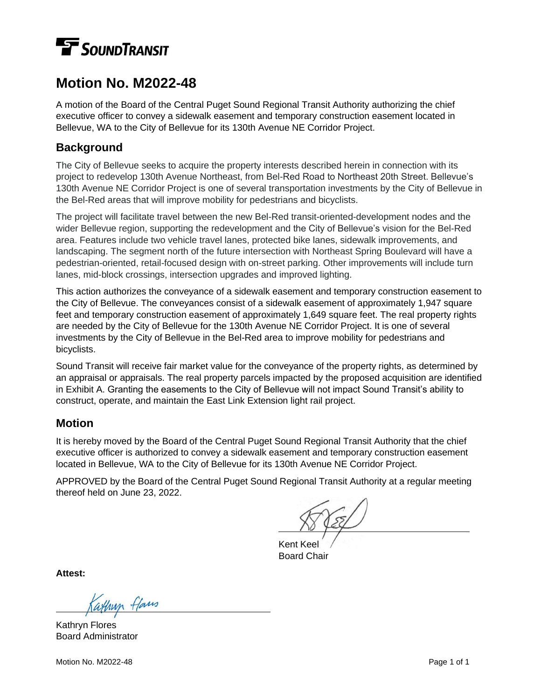# **F** SOUNDTRANSIT

# **Motion No. M2022-48**

A motion of the Board of the Central Puget Sound Regional Transit Authority authorizing the chief executive officer to convey a sidewalk easement and temporary construction easement located in Bellevue, WA to the City of Bellevue for its 130th Avenue NE Corridor Project.

#### **Background**

The City of Bellevue seeks to acquire the property interests described herein in connection with its project to redevelop 130th Avenue Northeast, from Bel-Red Road to Northeast 20th Street. Bellevue's 130th Avenue NE Corridor Project is one of several transportation investments by the City of Bellevue in the Bel-Red areas that will improve mobility for pedestrians and bicyclists.

The project will facilitate travel between the new Bel-Red transit-oriented-development nodes and the wider Bellevue region, supporting the redevelopment and the City of Bellevue's vision for the Bel-Red area. Features include two vehicle travel lanes, protected bike lanes, sidewalk improvements, and landscaping. The segment north of the future intersection with Northeast Spring Boulevard will have a pedestrian-oriented, retail-focused design with on-street parking. Other improvements will include turn lanes, mid-block crossings, intersection upgrades and improved lighting.

This action authorizes the conveyance of a sidewalk easement and temporary construction easement to the City of Bellevue. The conveyances consist of a sidewalk easement of approximately 1,947 square feet and temporary construction easement of approximately 1,649 square feet. The real property rights are needed by the City of Bellevue for the 130th Avenue NE Corridor Project. It is one of several investments by the City of Bellevue in the Bel-Red area to improve mobility for pedestrians and bicyclists.

Sound Transit will receive fair market value for the conveyance of the property rights, as determined by an appraisal or appraisals. The real property parcels impacted by the proposed acquisition are identified in Exhibit A. Granting the easements to the City of Bellevue will not impact Sound Transit's ability to construct, operate, and maintain the East Link Extension light rail project.

### **Motion**

It is hereby moved by the Board of the Central Puget Sound Regional Transit Authority that the chief executive officer is authorized to convey a sidewalk easement and temporary construction easement located in Bellevue, WA to the City of Bellevue for its 130th Avenue NE Corridor Project.

APPROVED by the Board of the Central Puget Sound Regional Transit Authority at a regular meeting thereof held on June 23, 2022.

Kent Keel Board Chair

**Attest:**

Kathryn Flores Board Administrator

Motion No. M2022-48 Page 1 of 1